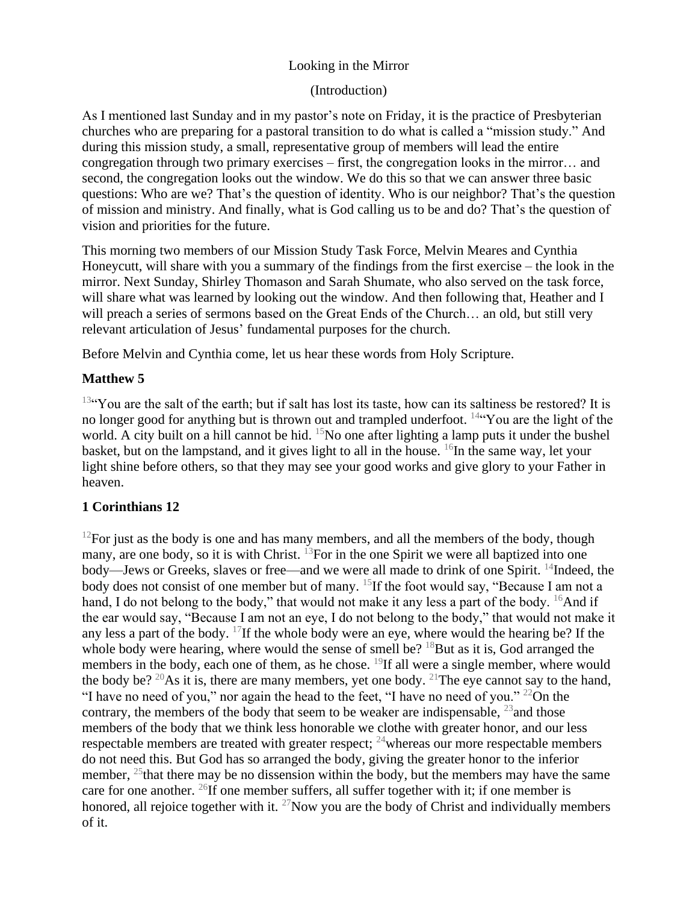# Looking in the Mirror

### (Introduction)

As I mentioned last Sunday and in my pastor's note on Friday, it is the practice of Presbyterian churches who are preparing for a pastoral transition to do what is called a "mission study." And during this mission study, a small, representative group of members will lead the entire congregation through two primary exercises – first, the congregation looks in the mirror… and second, the congregation looks out the window. We do this so that we can answer three basic questions: Who are we? That's the question of identity. Who is our neighbor? That's the question of mission and ministry. And finally, what is God calling us to be and do? That's the question of vision and priorities for the future.

This morning two members of our Mission Study Task Force, Melvin Meares and Cynthia Honeycutt, will share with you a summary of the findings from the first exercise – the look in the mirror. Next Sunday, Shirley Thomason and Sarah Shumate, who also served on the task force, will share what was learned by looking out the window. And then following that, Heather and I will preach a series of sermons based on the Great Ends of the Church… an old, but still very relevant articulation of Jesus' fundamental purposes for the church.

Before Melvin and Cynthia come, let us hear these words from Holy Scripture.

# **Matthew 5**

 $13\text{°}$ You are the salt of the earth; but if salt has lost its taste, how can its saltiness be restored? It is no longer good for anything but is thrown out and trampled underfoot. <sup>14"</sup>You are the light of the world. A city built on a hill cannot be hid.  $^{15}$ No one after lighting a lamp puts it under the bushel basket, but on the lampstand, and it gives light to all in the house.  ${}^{16}$ In the same way, let your light shine before others, so that they may see your good works and give glory to your Father in heaven.

# **1 Corinthians 12**

 $12$ For just as the body is one and has many members, and all the members of the body, though many, are one body, so it is with Christ. <sup>13</sup>For in the one Spirit we were all baptized into one body—Jews or Greeks, slaves or free—and we were all made to drink of one Spirit. <sup>14</sup>Indeed, the body does not consist of one member but of many. <sup>15</sup>If the foot would say, "Because I am not a hand, I do not belong to the body," that would not make it any less a part of the body. <sup>16</sup>And if the ear would say, "Because I am not an eye, I do not belong to the body," that would not make it any less a part of the body.  $^{17}$ If the whole body were an eye, where would the hearing be? If the whole body were hearing, where would the sense of smell be?  $18$ But as it is, God arranged the members in the body, each one of them, as he chose. <sup>19</sup>If all were a single member, where would the body be? <sup>20</sup>As it is, there are many members, yet one body. <sup>21</sup>The eye cannot say to the hand, "I have no need of you," nor again the head to the feet, "I have no need of you."  $^{22}$ On the contrary, the members of the body that seem to be weaker are indispensable,  $^{23}$  and those members of the body that we think less honorable we clothe with greater honor, and our less respectable members are treated with greater respect;  $^{24}$  whereas our more respectable members do not need this. But God has so arranged the body, giving the greater honor to the inferior member,  $^{25}$ that there may be no dissension within the body, but the members may have the same care for one another.  $^{26}$ If one member suffers, all suffer together with it; if one member is honored, all rejoice together with it.  $^{27}$ Now you are the body of Christ and individually members of it.